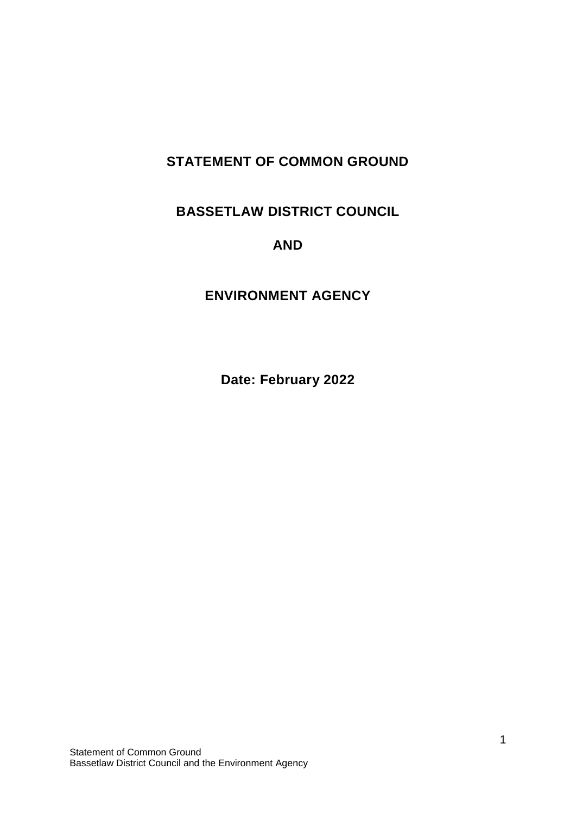# **STATEMENT OF COMMON GROUND**

## **BASSETLAW DISTRICT COUNCIL**

### **AND**

## **ENVIRONMENT AGENCY**

**Date: February 2022**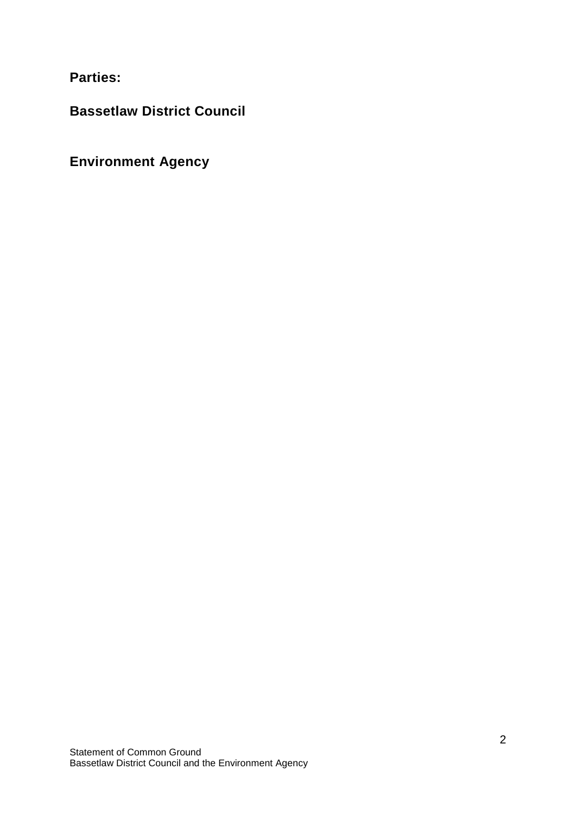**Parties:** 

**Bassetlaw District Council**

**Environment Agency**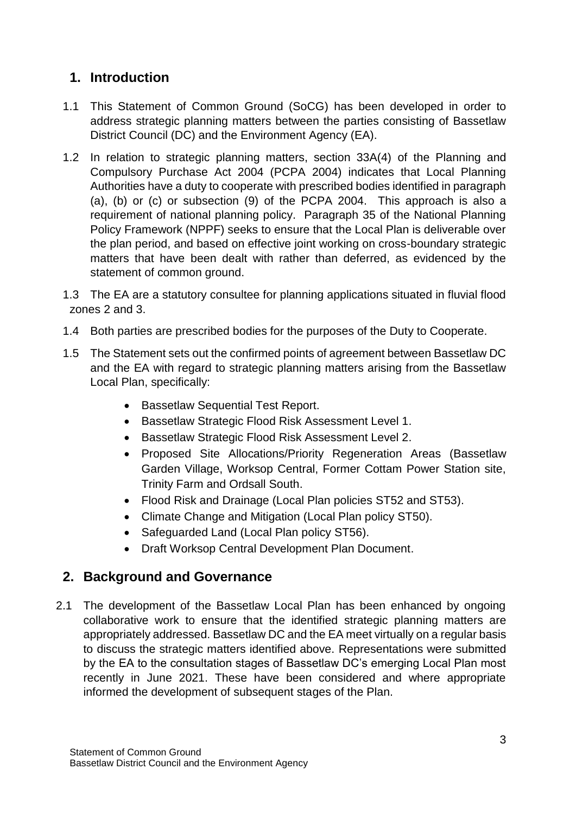## **1. Introduction**

- 1.1 This Statement of Common Ground (SoCG) has been developed in order to address strategic planning matters between the parties consisting of Bassetlaw District Council (DC) and the Environment Agency (EA).
- 1.2 In relation to strategic planning matters, section 33A(4) of the Planning and Compulsory Purchase Act 2004 (PCPA 2004) indicates that Local Planning Authorities have a duty to cooperate with prescribed bodies identified in paragraph (a), (b) or (c) or subsection (9) of the PCPA 2004.This approach is also a requirement of national planning policy. Paragraph 35 of the National Planning Policy Framework (NPPF) seeks to ensure that the Local Plan is deliverable over the plan period, and based on effective joint working on cross-boundary strategic matters that have been dealt with rather than deferred, as evidenced by the statement of common ground.
- 1.3 The EA are a statutory consultee for planning applications situated in fluvial flood zones 2 and 3.
- 1.4 Both parties are prescribed bodies for the purposes of the Duty to Cooperate.
- 1.5 The Statement sets out the confirmed points of agreement between Bassetlaw DC and the EA with regard to strategic planning matters arising from the Bassetlaw Local Plan, specifically:
	- Bassetlaw Sequential Test Report.
	- Bassetlaw Strategic Flood Risk Assessment Level 1.
	- Bassetlaw Strategic Flood Risk Assessment Level 2.
	- Proposed Site Allocations/Priority Regeneration Areas (Bassetlaw Garden Village, Worksop Central, Former Cottam Power Station site, Trinity Farm and Ordsall South.
	- Flood Risk and Drainage (Local Plan policies ST52 and ST53).
	- Climate Change and Mitigation (Local Plan policy ST50).
	- Safeguarded Land (Local Plan policy ST56).
	- Draft Worksop Central Development Plan Document.

### **2. Background and Governance**

2.1 The development of the Bassetlaw Local Plan has been enhanced by ongoing collaborative work to ensure that the identified strategic planning matters are appropriately addressed. Bassetlaw DC and the EA meet virtually on a regular basis to discuss the strategic matters identified above. Representations were submitted by the EA to the consultation stages of Bassetlaw DC's emerging Local Plan most recently in June 2021. These have been considered and where appropriate informed the development of subsequent stages of the Plan.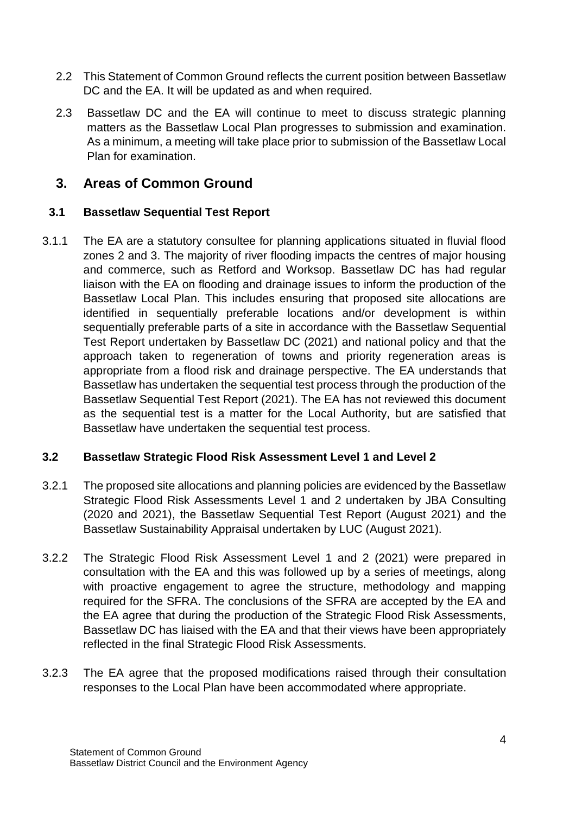- 2.2 This Statement of Common Ground reflects the current position between Bassetlaw DC and the EA. It will be updated as and when required.
- 2.3 Bassetlaw DC and the EA will continue to meet to discuss strategic planning matters as the Bassetlaw Local Plan progresses to submission and examination. As a minimum, a meeting will take place prior to submission of the Bassetlaw Local Plan for examination.

### **3. Areas of Common Ground**

#### **3.1 Bassetlaw Sequential Test Report**

3.1.1 The EA are a statutory consultee for planning applications situated in fluvial flood zones 2 and 3. The majority of river flooding impacts the centres of major housing and commerce, such as Retford and Worksop. Bassetlaw DC has had regular liaison with the EA on flooding and drainage issues to inform the production of the Bassetlaw Local Plan. This includes ensuring that proposed site allocations are identified in sequentially preferable locations and/or development is within sequentially preferable parts of a site in accordance with the Bassetlaw Sequential Test Report undertaken by Bassetlaw DC (2021) and national policy and that the approach taken to regeneration of towns and priority regeneration areas is appropriate from a flood risk and drainage perspective. The EA understands that Bassetlaw has undertaken the sequential test process through the production of the Bassetlaw Sequential Test Report (2021). The EA has not reviewed this document as the sequential test is a matter for the Local Authority, but are satisfied that Bassetlaw have undertaken the sequential test process.

#### **3.2 Bassetlaw Strategic Flood Risk Assessment Level 1 and Level 2**

- 3.2.1 The proposed site allocations and planning policies are evidenced by the Bassetlaw Strategic Flood Risk Assessments Level 1 and 2 undertaken by JBA Consulting (2020 and 2021), the Bassetlaw Sequential Test Report (August 2021) and the Bassetlaw Sustainability Appraisal undertaken by LUC (August 2021).
- 3.2.2 The Strategic Flood Risk Assessment Level 1 and 2 (2021) were prepared in consultation with the EA and this was followed up by a series of meetings, along with proactive engagement to agree the structure, methodology and mapping required for the SFRA. The conclusions of the SFRA are accepted by the EA and the EA agree that during the production of the Strategic Flood Risk Assessments, Bassetlaw DC has liaised with the EA and that their views have been appropriately reflected in the final Strategic Flood Risk Assessments.
- 3.2.3 The EA agree that the proposed modifications raised through their consultation responses to the Local Plan have been accommodated where appropriate.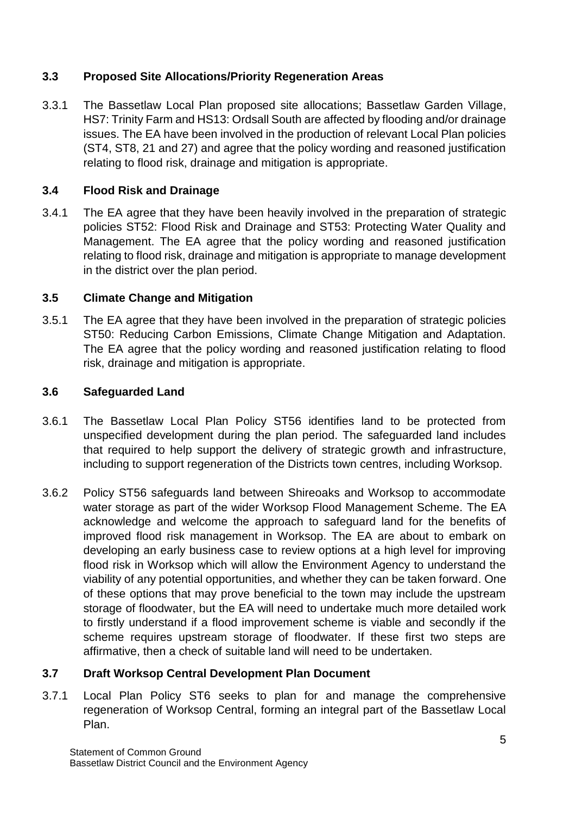#### **3.3 Proposed Site Allocations/Priority Regeneration Areas**

3.3.1 The Bassetlaw Local Plan proposed site allocations; Bassetlaw Garden Village, HS7: Trinity Farm and HS13: Ordsall South are affected by flooding and/or drainage issues. The EA have been involved in the production of relevant Local Plan policies (ST4, ST8, 21 and 27) and agree that the policy wording and reasoned justification relating to flood risk, drainage and mitigation is appropriate.

#### **3.4 Flood Risk and Drainage**

3.4.1 The EA agree that they have been heavily involved in the preparation of strategic policies ST52: Flood Risk and Drainage and ST53: Protecting Water Quality and Management. The EA agree that the policy wording and reasoned justification relating to flood risk, drainage and mitigation is appropriate to manage development in the district over the plan period.

#### **3.5 Climate Change and Mitigation**

3.5.1 The EA agree that they have been involved in the preparation of strategic policies ST50: Reducing Carbon Emissions, Climate Change Mitigation and Adaptation. The EA agree that the policy wording and reasoned justification relating to flood risk, drainage and mitigation is appropriate.

#### **3.6 Safeguarded Land**

- 3.6.1 The Bassetlaw Local Plan Policy ST56 identifies land to be protected from unspecified development during the plan period. The safeguarded land includes that required to help support the delivery of strategic growth and infrastructure, including to support regeneration of the Districts town centres, including Worksop.
- 3.6.2 Policy ST56 safeguards land between Shireoaks and Worksop to accommodate water storage as part of the wider Worksop Flood Management Scheme. The EA acknowledge and welcome the approach to safeguard land for the benefits of improved flood risk management in Worksop. The EA are about to embark on developing an early business case to review options at a high level for improving flood risk in Worksop which will allow the Environment Agency to understand the viability of any potential opportunities, and whether they can be taken forward. One of these options that may prove beneficial to the town may include the upstream storage of floodwater, but the EA will need to undertake much more detailed work to firstly understand if a flood improvement scheme is viable and secondly if the scheme requires upstream storage of floodwater. If these first two steps are affirmative, then a check of suitable land will need to be undertaken.

### **3.7 Draft Worksop Central Development Plan Document**

3.7.1 Local Plan Policy ST6 seeks to plan for and manage the comprehensive regeneration of Worksop Central, forming an integral part of the Bassetlaw Local Plan.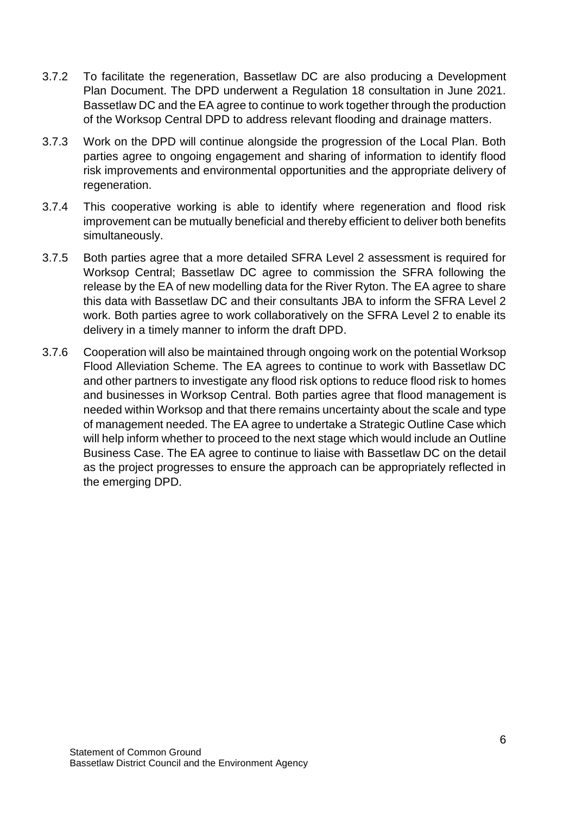- 3.7.2 To facilitate the regeneration, Bassetlaw DC are also producing a Development Plan Document. The DPD underwent a Regulation 18 consultation in June 2021. Bassetlaw DC and the EA agree to continue to work together through the production of the Worksop Central DPD to address relevant flooding and drainage matters.
- 3.7.3 Work on the DPD will continue alongside the progression of the Local Plan. Both parties agree to ongoing engagement and sharing of information to identify flood risk improvements and environmental opportunities and the appropriate delivery of regeneration.
- 3.7.4 This cooperative working is able to identify where regeneration and flood risk improvement can be mutually beneficial and thereby efficient to deliver both benefits simultaneously.
- 3.7.5 Both parties agree that a more detailed SFRA Level 2 assessment is required for Worksop Central; Bassetlaw DC agree to commission the SFRA following the release by the EA of new modelling data for the River Ryton. The EA agree to share this data with Bassetlaw DC and their consultants JBA to inform the SFRA Level 2 work. Both parties agree to work collaboratively on the SFRA Level 2 to enable its delivery in a timely manner to inform the draft DPD.
- 3.7.6 Cooperation will also be maintained through ongoing work on the potential Worksop Flood Alleviation Scheme. The EA agrees to continue to work with Bassetlaw DC and other partners to investigate any flood risk options to reduce flood risk to homes and businesses in Worksop Central. Both parties agree that flood management is needed within Worksop and that there remains uncertainty about the scale and type of management needed. The EA agree to undertake a Strategic Outline Case which will help inform whether to proceed to the next stage which would include an Outline Business Case. The EA agree to continue to liaise with Bassetlaw DC on the detail as the project progresses to ensure the approach can be appropriately reflected in the emerging DPD.